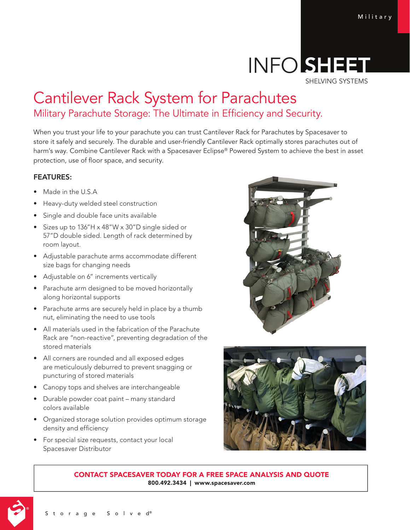## INFO SHEE SHELVING SYSTEMS

# Cantilever Rack System for Parachutes Military Parachute Storage: The Ultimate in Efficiency and Security.

When you trust your life to your parachute you can trust Cantilever Rack for Parachutes by Spacesaver to store it safely and securely. The durable and user-friendly Cantilever Rack optimally stores parachutes out of harm's way. Combine Cantilever Rack with a Spacesaver Eclipse® Powered System to achieve the best in asset protection, use of floor space, and security.

### FEATURES:

- Made in the U.S.A
- Heavy-duty welded steel construction
- Single and double face units available
- Sizes up to 136"H x 48"W x 30"D single sided or 57"D double sided. Length of rack determined by room layout.
- Adjustable parachute arms accommodate different size bags for changing needs
- Adjustable on 6" increments vertically
- Parachute arm designed to be moved horizontally along horizontal supports
- Parachute arms are securely held in place by a thumb nut, eliminating the need to use tools
- All materials used in the fabrication of the Parachute Rack are "non-reactive", preventing degradation of the stored materials
- All corners are rounded and all exposed edges are meticulously deburred to prevent snagging or puncturing of stored materials
- Canopy tops and shelves are interchangeable
- Durable powder coat paint many standard colors available
- Organized storage solution provides optimum storage density and efficiency
- For special size requests, contact your local Spacesaver Distributor





CONTACT SPACESAVER TODAY FOR A FREE SPACE ANALYSIS AND QUOTE 800.492.3434 | www.spacesaver.com